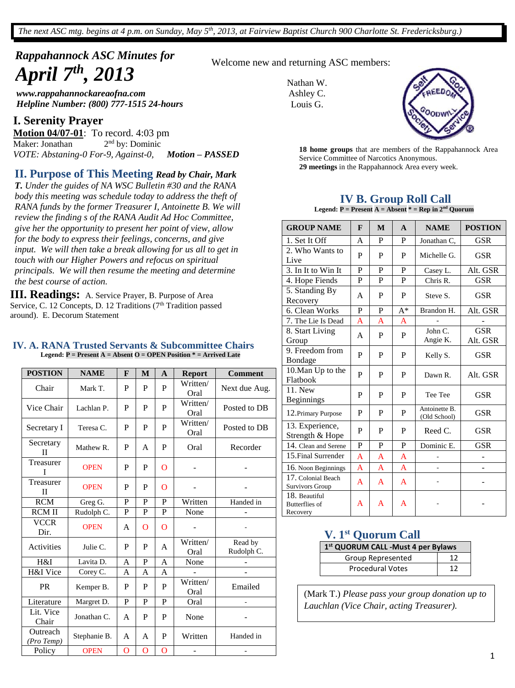*The next ASC mtg. begins at 4 p.m. on Sunday, May 5th , 2013, at Fairview Baptist Church 900 Charlotte St. Fredericksburg.)*

# *Rappahannock ASC Minutes for April 7th , 2013*

*www.rappahannockareaofna.com Helpline Number: (800) 777-1515 24-hours*

### **I. Serenity Prayer**

**Motion 04/07-01**: To record. 4:03 pm Maker: Jonathan 2 2<sup>nd</sup> by: Dominic *VOTE: Abstaning-0 For-9, Against-0, Motion – PASSED*

### **II. Purpose of This Meeting** *Read by Chair, Mark*

*T. Under the guides of NA WSC Bulletin #30 and the RANA body this meeting was schedule today to address the theft of RANA funds by the former Treasurer I, Antoinette B. We will review the finding s of the RANA Audit Ad Hoc Committee, give her the opportunity to present her point of view, allow for the body to express their feelings, concerns, and give input. We will then take a break allowing for us all to get in touch with our Higher Powers and refocus on spiritual principals. We will then resume the meeting and determine the best course of action.*

**III. Readings:** A. Service Prayer, B. Purpose of Area Service, C. 12 Concepts, D. 12 Traditions (7<sup>th</sup> Tradition passed around). E. Decorum Statement

#### **IV. A. RANA Trusted Servants & Subcommittee Chairs Legend: P = Present A = Absent O = OPEN Position \* = Arrived Late**

| <b>POSTION</b>            | <b>NAME</b>  | $\mathbf{F}$   | $\mathbf{M}$   | $\mathbf{A}$   | <b>Report</b>    | <b>Comment</b>        |
|---------------------------|--------------|----------------|----------------|----------------|------------------|-----------------------|
| Chair                     | Mark T.      | P              | P              | P              | Written/<br>Oral | Next due Aug.         |
| Vice Chair                | Lachlan P.   | P              | P              | P              | Written/<br>Oral | Posted to DB          |
| Secretary I               | Teresa C.    | P              | P              | P              | Written/<br>Oral | Posted to DB          |
| Secretary<br>$\mathbf{I}$ | Mathew R.    | P              | A              | P              | Oral             | Recorder              |
| Treasurer<br>L            | <b>OPEN</b>  | P              | P              | $\Omega$       |                  |                       |
| Treasurer<br>П            | <b>OPEN</b>  | P              | P              | $\Omega$       |                  |                       |
| <b>RCM</b>                | Greg G.      | $\mathbf{P}$   | P              | $\mathbf{P}$   | Written          | Handed in             |
| <b>RCM II</b>             | Rudolph C.   | P              | P              | P              | None             |                       |
| <b>VCCR</b><br>Dir.       | <b>OPEN</b>  | A              | $\Omega$       | $\Omega$       |                  |                       |
| Activities                | Julie C.     | P              | P              | A              | Written/<br>Oral | Read by<br>Rudolph C. |
| H&I                       | Lavita D.    | A              | $\overline{P}$ | A              | None             |                       |
| H&I Vice                  | Corey C.     | A              | A              | A              |                  |                       |
| <b>PR</b>                 | Kemper B.    | P              | P              | P              | Written/<br>Oral | Emailed               |
| Literature                | Margret D.   | P              | P              | P              | Oral             | ä,                    |
| Lit. Vice<br>Chair        | Jonathan C.  | A              | P              | P              | None             |                       |
| Outreach<br>(Pro Temp)    | Stephanie B. | A              | A              | P              | Written          | Handed in             |
| Policy                    | <b>OPEN</b>  | $\overline{O}$ | O              | $\overline{O}$ |                  |                       |

Welcome new and returning ASC members:

Nathan W. Ashley C. Louis G.



**29 meetings** in the Rappahannock Area every week. **18 home groups** that are members of the Rappahannock Area Service Committee of Narcotics Anonymous.

### **IV B. Group Roll Call**

**Legend:**  $P =$  Present  $A =$  Absent  $* =$  Rep in  $2^{nd}$  Quorum

| <b>GROUP NAME</b>                                  | F              | M | $\mathbf{A}$             | <b>NAME</b>                   | <b>POSTION</b>         |
|----------------------------------------------------|----------------|---|--------------------------|-------------------------------|------------------------|
| 1. Set It Off                                      | A              | P | P                        | Jonathan C,                   | <b>GSR</b>             |
| 2. Who Wants to<br>Live                            | P              | P | P                        | Michelle G.                   | <b>GSR</b>             |
| 3. In It to Win It                                 | P              | P | P                        | Casey L.                      | Alt. GSR               |
| 4. Hope Fiends                                     | P              | P | P                        | Chris R.                      | <b>GSR</b>             |
| 5. Standing By<br>Recovery                         | A              | P | P                        | Steve S.                      | <b>GSR</b>             |
| 6. Clean Works                                     | P              | P | $A^*$                    | Brandon H.                    | Alt. GSR               |
| 7. The Lie Is Dead                                 | A              | A | A                        |                               |                        |
| 8. Start Living<br>Group                           | A              | P | John C.<br>P<br>Angie K. |                               | <b>GSR</b><br>Alt. GSR |
| 9. Freedom from<br>Bondage                         | P              | P | P                        | Kelly S.                      | <b>GSR</b>             |
| 10. Man Up to the<br>Flatbook                      | P              | P | P                        | Dawn R.                       | Alt. GSR               |
| 11. New<br>Beginnings                              | P              | P | P                        | Tee Tee                       | <b>GSR</b>             |
| 12. Primary Purpose                                | P              | P | P                        | Antoinette B.<br>(Old School) | <b>GSR</b>             |
| 13. Experience,<br>Strength & Hope                 | P              | P | P                        | Reed C.                       | <b>GSR</b>             |
| 14. Clean and Serene                               | P              | P | P                        | Dominic E.                    | <b>GSR</b>             |
| 15. Final Surrender                                | $\overline{A}$ | A | A                        |                               |                        |
| 16. Noon Beginnings                                | A              | A | A                        | $\overline{a}$                |                        |
| 17. Colonial Beach<br><b>Survivors Group</b>       | $\mathsf{A}$   | A | A                        |                               |                        |
| 18. Beautiful<br><b>Butterflies of</b><br>Recovery | A              | A | A                        |                               |                        |

### **V. 1st Quorum Call**

| 1 <sup>st</sup> QUORUM CALL -Must 4 per Bylaws |    |  |  |  |  |
|------------------------------------------------|----|--|--|--|--|
| Group Represented                              | 12 |  |  |  |  |
| <b>Procedural Votes</b>                        | 12 |  |  |  |  |

(Mark T.) *Please pass your group donation up to Lauchlan (Vice Chair, acting Treasurer).*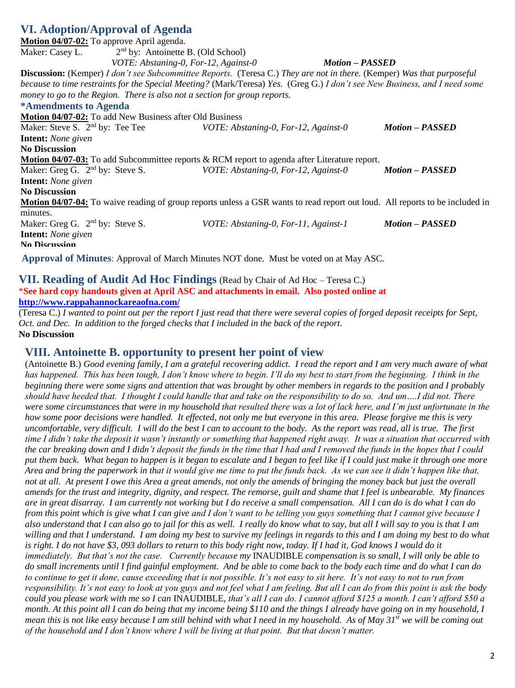## **VI. Adoption/Approval of Agenda**

| Motion 04/07-02: To approve April agenda.                                 |                                      |                                                                                                                               |                        |
|---------------------------------------------------------------------------|--------------------------------------|-------------------------------------------------------------------------------------------------------------------------------|------------------------|
| Maker: Casey L.                                                           | $2nd$ by: Antoinette B. (Old School) |                                                                                                                               |                        |
|                                                                           |                                      | VOTE: Abstaning-0, For-12, Against-0                                                                                          | <b>Motion – PASSED</b> |
|                                                                           |                                      | <b>Discussion:</b> (Kemper) I don't see Subcommittee Reports. (Teresa C.) They are not in there. (Kemper) Was that purposeful |                        |
|                                                                           |                                      | because to time restraints for the Special Meeting? (Mark/Teresa) Yes. (Greg G.) I don't see New Business, and I need some    |                        |
| money to go to the Region. There is also not a section for group reports. |                                      |                                                                                                                               |                        |
| *Amendments to Agenda                                                     |                                      |                                                                                                                               |                        |
| <b>Motion 04/07-02:</b> To add New Business after Old Business            |                                      |                                                                                                                               |                        |
| Maker: Steve S. $2nd$ by: Tee Tee                                         |                                      | VOTE: Abstaning-0, For-12, Against-0                                                                                          | <b>Motion – PASSED</b> |
| <b>Intent:</b> None given                                                 |                                      |                                                                                                                               |                        |
| <b>No Discussion</b>                                                      |                                      |                                                                                                                               |                        |
|                                                                           |                                      | <b>Motion 04/07-03:</b> To add Subcommittee reports & RCM report to agenda after Literature report.                           |                        |
| Maker: Greg G. $2nd$ by: Steve S.                                         |                                      | VOTE: Abstaning-0, For-12, Against-0                                                                                          | <b>Motion – PASSED</b> |
| <b>Intent:</b> None given                                                 |                                      |                                                                                                                               |                        |
| <b>No Discussion</b>                                                      |                                      |                                                                                                                               |                        |
|                                                                           |                                      | Motion 04/07-04: To waive reading of group reports unless a GSR wants to read report out loud. All reports to be included in  |                        |
| minutes.                                                                  |                                      |                                                                                                                               |                        |
| Maker: Greg G. $2nd$ by: Steve S.                                         |                                      | VOTE: Abstaning-0, For-11, Against-1                                                                                          | <b>Motion - PASSED</b> |
| <b>Intent:</b> None given                                                 |                                      |                                                                                                                               |                        |
| No Discussion                                                             |                                      |                                                                                                                               |                        |
|                                                                           |                                      | Approval of Minutes: Approval of March Minutes NOT done. Must be voted on at May ASC.                                         |                        |

**VII. Reading of Audit Ad Hoc Findings** (Read by Chair of Ad Hoc – Teresa C.) \***See hard copy handouts given at April ASC and attachments in email. Also posted online at <http://www.rappahannockareaofna.com/>**

(Teresa C.) *I wanted to point out per the report I just read that there were several copies of forged deposit receipts for Sept, Oct. and Dec. In addition to the forged checks that I included in the back of the report.* **No Discussion**

### **VIII. Antoinette B. opportunity to present her point of view**

(Antoinette B.) *Good evening family, I am a grateful recovering addict. I read the report and I am very much aware of what has happened. This has been tough, I don't know where to begin. I'll do my best to start from the beginning. I think in the beginning there were some signs and attention that was brought by other members in regards to the position and I probably should have heeded that. I thought I could handle that and take on the responsibility to do so. And um….I did not. There were some circumstances that were in my household that resulted there was a lot of lack here, and I'm just unfortunate in the how some poor decisions were handled. It effected, not only me but everyone in this area. Please forgive me this is very uncomfortable, very difficult. I will do the best I can to account to the body. As the report was read, all is true. The first time I didn't take the deposit it wasn't instantly or something that happened right away. It was a situation that occurred with the car breaking down and I didn't deposit the funds in the time that I had and I removed the funds in the hopes that I could put them back. What began to happen is it began to escalate and I began to feel like if I could just make it through one more Area and bring the paperwork in that it would give me time to put the funds back. As we can see it didn't happen like that, not at all. At present I owe this Area a great amends, not only the amends of bringing the money back but just the overall amends for the trust and integrity, dignity, and respect. The remorse, guilt and shame that I feel is unbearable. My finances are in great disarray. I am currently not working but I do receive a small compensation. All I can do is do what I can do from this point which is give what I can give and I don't want to be telling you guys something that I cannot give because I also understand that I can also go to jail for this as well. I really do know what to say, but all I will say to you is that I am willing and that I understand. I am doing my best to survive my feelings in regards to this and I am doing my best to do what*  is right. I do not have \$3,093 dollars to return to this body right now, today. If I had it, God knows I would do it *immediately. But that's not the case. Currently because my* INAUDIBLE *compensation is so small, I will only be able to do small increments until I find gainful employment. And be able to come back to the body each time and do what I can do to continue to get it done, cause exceeding that is not possible. It's not easy to sit here. It's not easy to not to run from responsibility. It's not easy to look at you guys and not feel what I am feeling. But all I can do from this point is ask the body could you please work with me so I can* INAUDIBLE, *that's all I can do. I cannot afford \$125 a month. I can't afford \$50 a month. At this point all I can do being that my income being \$110 and the things I already have going on in my household, I mean this is not like easy because I am still behind with what I need in my household. As of May 31st we will be coming out of the household and I don't know where I will be living at that point. But that doesn't matter.*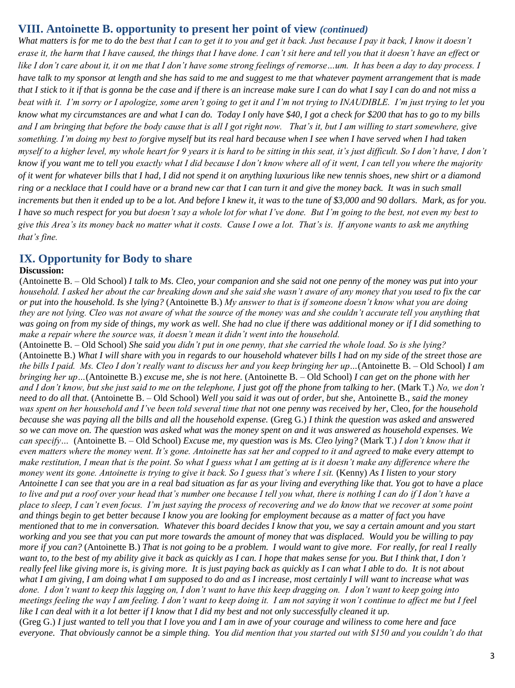## **VIII. Antoinette B. opportunity to present her point of view** *(continued)*

*What matters is for me to do the best that I can to get it to you and get it back. Just because I pay it back, I know it doesn't erase it, the harm that I have caused, the things that I have done. I can't sit here and tell you that it doesn't have an effect or like I don't care about it, it on me that I don't have some strong feelings of remorse…um. It has been a day to day process. I have talk to my sponsor at length and she has said to me and suggest to me that whatever payment arrangement that is made that I stick to it if that is gonna be the case and if there is an increase make sure I can do what I say I can do and not miss a beat with it. I'm sorry or I apologize, some aren't going to get it and I'm not trying to INAUDIBLE. I'm just trying to let you know what my circumstances are and what I can do. Today I only have \$40, I got a check for \$200 that has to go to my bills and I am bringing that before the body cause that is all I got right now. That's it, but I am willing to start somewhere, give something. I'm doing my best to forgive myself but its real hard because when I see when I have served when I had taken myself to a higher level, my whole heart for 9 years it is hard to be sitting in this seat, it's just difficult. So I don't have, I don't know if you want me to tell you exactly what I did because I don't know where all of it went, I can tell you where the majority of it went for whatever bills that I had, I did not spend it on anything luxurious like new tennis shoes, new shirt or a diamond ring or a necklace that I could have or a brand new car that I can turn it and give the money back. It was in such small increments but then it ended up to be a lot. And before I knew it, it was to the tune of \$3,000 and 90 dollars. Mark, as for you. I have so much respect for you but doesn't say a whole lot for what I've done. But I'm going to the best, not even my best to give this Area's its money back no matter what it costs. Cause I owe a lot. That's is. If anyone wants to ask me anything that's fine.* 

### **IX. Opportunity for Body to share**

### **Discussion:**

(Antoinette B. – Old School) *I talk to Ms. Cleo, your companion and she said not one penny of the money was put into your household. I asked her about the car breaking down and she said she wasn't aware of any money that you used to fix the car or put into the household. Is she lying?* (Antoinette B.) *My answer to that is if someone doesn't know what you are doing they are not lying. Cleo was not aware of what the source of the money was and she couldn't accurate tell you anything that was going on from my side of things, my work as well. She had no clue if there was additional money or if I did something to make a repair where the source was, it doesn't mean it didn't went into the household.* 

(Antoinette B. – Old School) *She said you didn't put in one penny, that she carried the whole load. So is she lying?* (Antoinette B.) *What I will share with you in regards to our household whatever bills I had on my side of the street those are the bills I paid. Ms. Cleo I don't really want to discuss her and you keep bringing her up…*(Antoinette B. – Old School) *I am bringing her up…*(Antoinette B.) *excuse me, she is not here.* (Antoinette B. – Old School) *I can get on the phone with her and I don't know, but she just said to me on the telephone, I just got off the phone from talking to her.* (Mark T.) *No, we don't need to do all that.* (Antoinette B. – Old School) *Well you said it was out of order, but she*, Antoinette B., *said the money was spent on her household and I've been told several time that not one penny was received by her*, Cleo*, for the household because she was paying all the bills and all the household expense.* (Greg G.) *I think the question was asked and answered so we can move on. The question was asked what was the money spent on and it was answered as household expenses. We can specify…* (Antoinette B. – Old School) *Excuse me, my question was is Ms. Cleo lying?* (Mark T.) *I don't know that it even matters where the money went. It's gone. Antoinette has sat her and copped to it and agreed to make every attempt to make restitution, I mean that is the point. So what I guess what I am getting at is it doesn't make any difference where the money went its gone. Antoinette is trying to give it back. So I guess that's where I sit.* (Kenny) *As I listen to your story Antoinette I can see that you are in a real bad situation as far as your living and everything like that. You got to have a place to live and put a roof over your head that's number one because I tell you what, there is nothing I can do if I don't have a place to sleep, I can't even focus. I'm just saying the process of recovering and we do know that we recover at some point and things begin to get better because I know you are looking for employment because as a matter of fact you have mentioned that to me in conversation. Whatever this board decides I know that you, we say a certain amount and you start working and you see that you can put more towards the amount of money that was displaced. Would you be willing to pay more if you can?* (Antoinette B.) *That is not going to be a problem. I would want to give more. For really, for real I really want to, to the best of my ability give it back as quickly as I can. I hope that makes sense for you. But I think that, I don't really feel like giving more is, is giving more. It is just paying back as quickly as I can what I able to do. It is not about what I am giving, I am doing what I am supposed to do and as I increase, most certainly I will want to increase what was done. I don't want to keep this lagging on, I don't want to have this keep dragging on. I don't want to keep going into meetings feeling the way I am feeling. I don't want to keep doing it. I am not saying it won't continue to affect me but I feel like I can deal with it a lot better if I know that I did my best and not only successfully cleaned it up.* (Greg G.) *I just wanted to tell you that I love you and I am in awe of your courage and wiliness to come here and face everyone. That obviously cannot be a simple thing. You did mention that you started out with \$150 and you couldn't do that*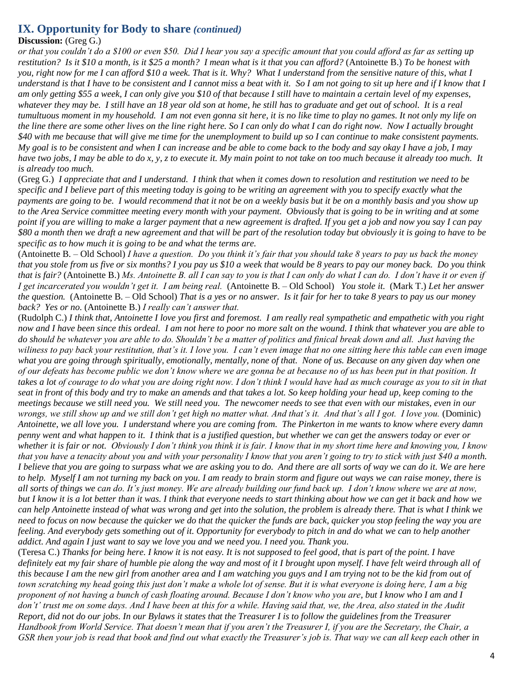## **IX. Opportunity for Body to share** *(continued)*

### **Discussion:** (Greg G.)

*or that you couldn't do a \$100 or even \$50. Did I hear you say a specific amount that you could afford as far as setting up restitution? Is it \$10 a month, is it \$25 a month? I mean what is it that you can afford?* (Antoinette B.) *To be honest with you, right now for me I can afford \$10 a week. That is it. Why? What I understand from the sensitive nature of this, what I understand is that I have to be consistent and I cannot miss a beat with it. So I am not going to sit up here and if I know that I am only getting \$55 a week, I can only give you \$10 of that because I still have to maintain a certain level of my expenses, whatever they may be. I still have an 18 year old son at home, he still has to graduate and get out of school. It is a real tumultuous moment in my household. I am not even gonna sit here, it is no like time to play no games. It not only my life on the line there are some other lives on the line right here. So I can only do what I can do right now. Now I actually brought \$40 with me because that will give me time for the unemployment to build up so I can continue to make consistent payments. My goal is to be consistent and when I can increase and be able to come back to the body and say okay I have a job, I may have two jobs, I may be able to do x, y, z to execute it. My main point to not take on too much because it already too much. It is already too much.* 

(Greg G.) *I appreciate that and I understand. I think that when it comes down to resolution and restitution we need to be specific and I believe part of this meeting today is going to be writing an agreement with you to specify exactly what the payments are going to be. I would recommend that it not be on a weekly basis but it be on a monthly basis and you show up to the Area Service committee meeting every month with your payment. Obviously that is going to be in writing and at some point if you are willing to make a larger payment that a new agreement is drafted. If you get a job and now you say I can pay \$80 a month then we draft a new agreement and that will be part of the resolution today but obviously it is going to have to be specific as to how much it is going to be and what the terms are.* 

(Antoinette B. – Old School) *I have a question. Do you think it's fair that you should take 8 years to pay us back the money that you stole from us five or six months? I you pay us \$10 a week that would be 8 years to pay our money back. Do you think that is fair?* (Antoinette B.) *Ms. Antoinette B. all I can say to you is that I can only do what I can do. I don't have it or even if I get incarcerated you wouldn't get it. I am being real.* (Antoinette B. – Old School) *You stole it.* (Mark T.) *Let her answer the question.* (Antoinette B. – Old School) *That is a yes or no answer. Is it fair for her to take 8 years to pay us our money back? Yes or no.* (Antoinette B.) *I really can't answer that.* 

(Rudolph C.) *I think that, Antoinette I love you first and foremost. I am really real sympathetic and empathetic with you right now and I have been since this ordeal. I am not here to poor no more salt on the wound. I think that whatever you are able to do should be whatever you are able to do. Shouldn't be a matter of politics and finical break down and all. Just having the wiliness to pay back your restitution, that's it. I love you. I can't even image that no one sitting here this table can even image what you are going through spiritually, emotionally, mentally, none of that. None of us. Because on any given day when one of our defeats has become public we don't know where we are gonna be at because no of us has been put in that position. It takes a lot of courage to do what you are doing right now. I don't think I would have had as much courage as you to sit in that seat in front of this body and try to make an amends and that takes a lot. So keep holding your head up, keep coming to the meetings because we still need you. We still need you. The newcomer needs to see that even with our mistakes, even in our wrongs, we still show up and we still don't get high no matter what. And that's it. And that's all I got. I love you.* (Dominic) *Antoinette, we all love you. I understand where you are coming from. The Pinkerton in me wants to know where every damn penny went and what happen to it. I think that is a justified question, but whether we can get the answers today or ever or whether it is fair or not. Obviously I don't think you think it is fair. I know that in my short time here and knowing you, I know that you have a tenacity about you and with your personality I know that you aren't going to try to stick with just \$40 a month. I believe that you are going to surpass what we are asking you to do. And there are all sorts of way we can do it. We are here to help. Myself I am not turning my back on you. I am ready to brain storm and figure out ways we can raise money, there is all sorts of things we can do. It's just money. We are already building our fund back up. I don't know where we are at now, but I know it is a lot better than it was. I think that everyone needs to start thinking about how we can get it back and how we can help Antoinette instead of what was wrong and get into the solution, the problem is already there. That is what I think we need to focus on now because the quicker we do that the quicker the funds are back, quicker you stop feeling the way you are feeling. And everybody gets something out of it. Opportunity for everybody to pitch in and do what we can to help another addict. And again I just want to say we love you and we need you. I need you. Thank you.*

(Teresa C.) *Thanks for being here. I know it is not easy. It is not supposed to feel good, that is part of the point. I have definitely eat my fair share of humble pie along the way and most of it I brought upon myself. I have felt weird through all of this because I am the new girl from another area and I am watching you guys and I am trying not to be the kid from out of town scratching my head going this just don't make a whole lot of sense. But it is what everyone is doing here, I am a big proponent of not having a bunch of cash floating around. Because I don't know who you are, but I know who I am and I don't' trust me on some days. And I have been at this for a while. Having said that, we, the Area, also stated in the Audit Report, did not do our jobs. In our Bylaws it states that the Treasurer I is to follow the guidelines from the Treasurer Handbook from World Service. That doesn't mean that if you aren't the Treasurer I, if you are the Secretary, the Chair, a GSR then your job is read that book and find out what exactly the Treasurer's job is. That way we can all keep each other in*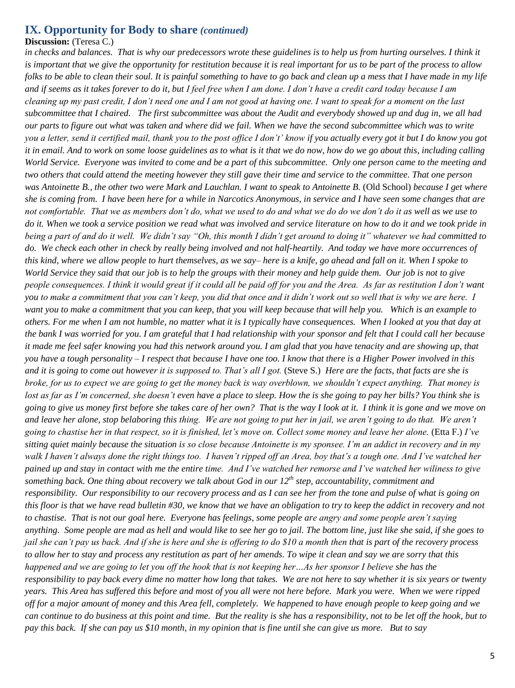### **IX. Opportunity for Body to share** *(continued)*

#### **Discussion:** (Teresa C.)

in checks and balances. That is why our predecessors wrote these guidelines is to help us from hurting ourselves. I think it *is important that we give the opportunity for restitution because it is real important for us to be part of the process to allow folks to be able to clean their soul. It is painful something to have to go back and clean up a mess that I have made in my life and if seems as it takes forever to do it, but I feel free when I am done. I don't have a credit card today because I am cleaning up my past credit, I don't need one and I am not good at having one. I want to speak for a moment on the last subcommittee that I chaired. The first subcommittee was about the Audit and everybody showed up and dug in, we all had our parts to figure out what was taken and where did we fail. When we have the second subcommittee which was to write you a letter, send it certified mail, thank you to the post office I don't' know if you actually every got it but I do know you got it in email. And to work on some loose guidelines as to what is it that we do now, how do we go about this, including calling World Service. Everyone was invited to come and be a part of this subcommittee. Only one person came to the meeting and two others that could attend the meeting however they still gave their time and service to the committee. That one person was Antoinette B., the other two were Mark and Lauchlan. I want to speak to Antoinette B.* (Old School) *because I get where she is coming from. I have been here for a while in Narcotics Anonymous, in service and I have seen some changes that are not comfortable. That we as members don't do, what we used to do and what we do do we don't do it as well as we use to do it. When we took a service position we read what was involved and service literature on how to do it and we took pride in being a part of and do it well. We didn't say "Oh, this month I didn't get around to doing it" whatever we had committed to do. We check each other in check by really being involved and not half-heartily. And today we have more occurrences of this kind, where we allow people to hurt themselves, as we say– here is a knife, go ahead and fall on it. When I spoke to World Service they said that our job is to help the groups with their money and help guide them. Our job is not to give people consequences. I think it would great if it could all be paid off for you and the Area. As far as restitution I don't want you to make a commitment that you can't keep, you did that once and it didn't work out so well that is why we are here. I want you to make a commitment that you can keep, that you will keep because that will help you. Which is an example to others. For me when I am not humble, no matter what it is I typically have consequences. When I looked at you that day at the bank I was worried for you. I am grateful that I had relationship with your sponsor and felt that I could call her because it made me feel safer knowing you had this network around you. I am glad that you have tenacity and are showing up, that you have a tough personality – I respect that because I have one too. I know that there is a Higher Power involved in this and it is going to come out however it is supposed to. That's all I got.* (Steve S.) *Here are the facts, that facts are she is broke, for us to expect we are going to get the money back is way overblown, we shouldn't expect anything. That money is lost as far as I'm concerned, she doesn't even have a place to sleep. How the is she going to pay her bills? You think she is going to give us money first before she takes care of her own? That is the way I look at it. I think it is gone and we move on and leave her alone, stop belaboring this thing. We are not going to put her in jail, we aren't going to do that. We aren't going to chastise her in that respect, so it is finished, let's move on. Collect some money and leave her alone.* (Etta F.) *I've sitting quiet mainly because the situation is so close because Antoinette is my sponsee. I'm an addict in recovery and in my walk I haven't always done the right things too. I haven't ripped off an Area, boy that's a tough one. And I've watched her pained up and stay in contact with me the entire time. And I've watched her remorse and I've watched her wiliness to give something back. One thing about recovery we talk about God in our 12th step, accountability, commitment and responsibility. Our responsibility to our recovery process and as I can see her from the tone and pulse of what is going on this floor is that we have read bulletin #30, we know that we have an obligation to try to keep the addict in recovery and not to chastise. That is not our goal here. Everyone has feelings, some people are angry and some people aren't saying anything. Some people are mad as hell and would like to see her go to jail. The bottom line, just like she said, if she goes to jail she can't pay us back. And if she is here and she is offering to do \$10 a month then that is part of the recovery process to allow her to stay and process any restitution as part of her amends. To wipe it clean and say we are sorry that this happened and we are going to let you off the hook that is not keeping her…As her sponsor I believe she has the responsibility to pay back every dime no matter how long that takes. We are not here to say whether it is six years or twenty years. This Area has suffered this before and most of you all were not here before. Mark you were. When we were ripped off for a major amount of money and this Area fell, completely. We happened to have enough people to keep going and we can continue to do business at this point and time. But the reality is she has a responsibility, not to be let off the hook, but to pay this back. If she can pay us \$10 month, in my opinion that is fine until she can give us more. But to say*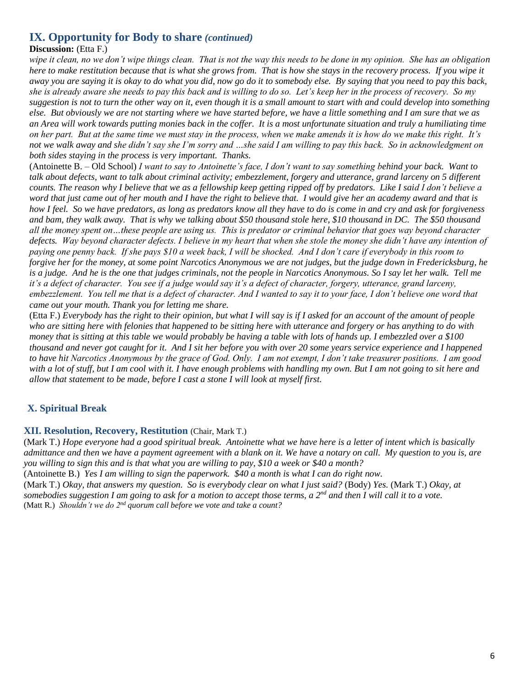### **IX. Opportunity for Body to share** *(continued)*

### **Discussion:** (Etta F.)

*wipe it clean, no we don't wipe things clean. That is not the way this needs to be done in my opinion. She has an obligation here to make restitution because that is what she grows from. That is how she stays in the recovery process. If you wipe it away you are saying it is okay to do what you did, now go do it to somebody else. By saying that you need to pay this back, she is already aware she needs to pay this back and is willing to do so. Let's keep her in the process of recovery. So my suggestion is not to turn the other way on it, even though it is a small amount to start with and could develop into something else. But obviously we are not starting where we have started before, we have a little something and I am sure that we as an Area will work towards putting monies back in the coffer. It is a most unfortunate situation and truly a humiliating time on her part. But at the same time we must stay in the process, when we make amends it is how do we make this right. It's not we walk away and she didn't say she I'm sorry and …she said I am willing to pay this back. So in acknowledgment on both sides staying in the process is very important. Thanks.*

(Antoinette B. – Old School) *I want to say to Antoinette's face, I don't want to say something behind your back. Want to talk about defects, want to talk about criminal activity; embezzlement, forgery and utterance, grand larceny on 5 different counts. The reason why I believe that we as a fellowship keep getting ripped off by predators. Like I said I don't believe a word that just came out of her mouth and I have the right to believe that. I would give her an academy award and that is how I feel. So we have predators, as long as predators know all they have to do is come in and cry and ask for forgiveness*  and bam, they walk away. That is why we talking about \$50 thousand stole here, \$10 thousand in DC. The \$50 thousand *all the money spent on…these people are using us. This is predator or criminal behavior that goes way beyond character defects. Way beyond character defects. I believe in my heart that when she stole the money she didn't have any intention of paying one penny back. If she pays \$10 a week back, I will be shocked. And I don't care if everybody in this room to forgive her for the money, at some point Narcotics Anonymous we are not judges, but the judge down in Fredericksburg, he*  is a judge. And he is the one that judges criminals, not the people in Narcotics Anonymous. So I say let her walk. Tell me *it's a defect of character. You see if a judge would say it's a defect of character, forgery, utterance, grand larceny, embezzlement. You tell me that is a defect of character. And I wanted to say it to your face, I don't believe one word that came out your mouth. Thank you for letting me share.* 

(Etta F.) *Everybody has the right to their opinion, but what I will say is if I asked for an account of the amount of people who are sitting here with felonies that happened to be sitting here with utterance and forgery or has anything to do with money that is sitting at this table we would probably be having a table with lots of hands up. I embezzled over a \$100 thousand and never got caught for it. And I sit her before you with over 20 some years service experience and I happened to have hit Narcotics Anonymous by the grace of God. Only. I am not exempt, I don't take treasurer positions. I am good with a lot of stuff, but I am cool with it. I have enough problems with handling my own. But I am not going to sit here and allow that statement to be made, before I cast a stone I will look at myself first.* 

### **X. Spiritual Break**

### **XII. Resolution, Recovery, Restitution** (Chair, Mark T.)

(Mark T.) *Hope everyone had a good spiritual break. Antoinette what we have here is a letter of intent which is basically admittance and then we have a payment agreement with a blank on it. We have a notary on call. My question to you is, are you willing to sign this and is that what you are willing to pay, \$10 a week or \$40 a month?*

(Antoinette B.) *Yes I am willing to sign the paperwork. \$40 a month is what I can do right now.* (Mark T.) *Okay, that answers my question. So is everybody clear on what I just said?* (Body) *Yes.* (Mark T.) *Okay, at somebodies suggestion I am going to ask for a motion to accept those terms, a 2<sup>nd</sup> and then I will call it to a vote.* (Matt R.) *Shouldn't we do 2nd quorum call before we vote and take a count?*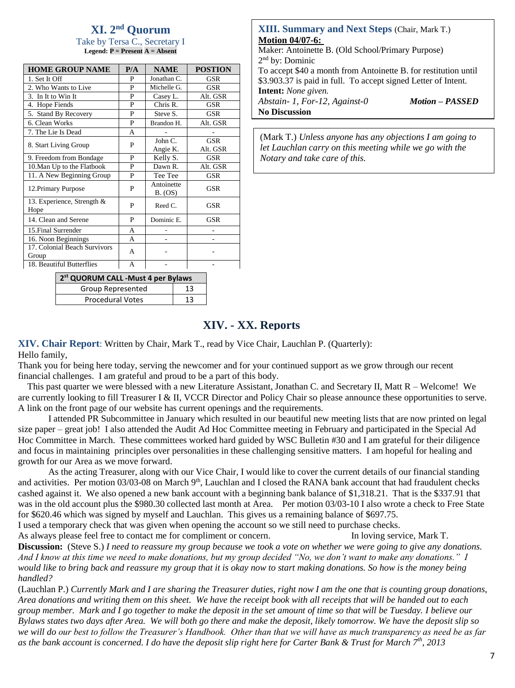# **XI. 2 nd Quorum**

Take by Tersa C., Secretary I **Legend: P = Present A = Absent**

| <b>HOME GROUP NAME</b>                | P/A | <b>NAME</b>           | <b>POSTION</b> |
|---------------------------------------|-----|-----------------------|----------------|
| 1. Set It Off                         | P   | Jonathan C.           | GSR            |
| 2. Who Wants to Live                  | P   | Michelle G.           | <b>GSR</b>     |
| 3. In It to Win It                    | P   | Casey L.              | Alt. GSR       |
| 4. Hope Fiends                        | P   | Chris R.              | GSR            |
| 5. Stand By Recovery                  | P   | Steve S.              | <b>GSR</b>     |
| 6. Clean Works                        | P   | Brandon H.            | Alt. GSR       |
| 7. The Lie Is Dead                    | A   |                       |                |
| 8. Start Living Group                 | P   | John C.               | <b>GSR</b>     |
|                                       |     | Angie K.              | Alt. GSR       |
| 9. Freedom from Bondage               | P   | Kelly S.              | <b>GSR</b>     |
| 10. Man Up to the Flatbook            | P   | Dawn R.               | Alt. GSR       |
| 11. A New Beginning Group             | P   | Tee Tee               | GSR            |
| 12. Primary Purpose                   | P   | Antoinette<br>B. (OS) | GSR            |
| 13. Experience, Strength &<br>Hope    | P   | Reed C.               | GSR            |
| 14. Clean and Serene                  | P   | Dominic E.            | GSR            |
| 15. Final Surrender                   | A   |                       |                |
| 16. Noon Beginnings                   | A   |                       |                |
| 17. Colonial Beach Survivors<br>Group | A   |                       |                |
| 18. Beautiful Butterflies             | A   |                       |                |

**2 st QUORUM CALL -Must 4 per Bylaws** Group Represented 13 Procedural Votes 13

#### **XIII. Summary and Next Steps** (Chair, Mark T.) **Motion 04/07-6:**

Maker: Antoinette B. (Old School/Primary Purpose) 2<sup>nd</sup> by: Dominic

To accept \$40 a month from Antoinette B. for restitution until \$3.903.37 is paid in full. To accept signed Letter of Intent. **Intent:** *None given.*

*Abstain- 1, For-12, Against-0 Motion – PASSED* **No Discussion**

(Mark T.) *Unless anyone has any objections I am going to let Lauchlan carry on this meeting while we go with the Notary and take care of this.* 

# **XIV. - XX. Reports**

**XIV. Chair Report**: Written by Chair, Mark T., read by Vice Chair, Lauchlan P. (Quarterly):

#### Hello family,

Thank you for being here today, serving the newcomer and for your continued support as we grow through our recent financial challenges. I am grateful and proud to be a part of this body.

 This past quarter we were blessed with a new Literature Assistant, Jonathan C. and Secretary II, Matt R – Welcome! We are currently looking to fill Treasurer I & II, VCCR Director and Policy Chair so please announce these opportunities to serve. A link on the front page of our website has current openings and the requirements.

I attended PR Subcommittee in January which resulted in our beautiful new meeting lists that are now printed on legal size paper – great job! I also attended the Audit Ad Hoc Committee meeting in February and participated in the Special Ad Hoc Committee in March. These committees worked hard guided by WSC Bulletin #30 and I am grateful for their diligence and focus in maintaining principles over personalities in these challenging sensitive matters. I am hopeful for healing and growth for our Area as we move forward.

As the acting Treasurer, along with our Vice Chair, I would like to cover the current details of our financial standing and activities. Per motion 03/03-08 on March 9<sup>th</sup>, Lauchlan and I closed the RANA bank account that had fraudulent checks cashed against it. We also opened a new bank account with a beginning bank balance of \$1,318.21. That is the \$337.91 that was in the old account plus the \$980.30 collected last month at Area. Per motion 03/03-10 I also wrote a check to Free State for \$620.46 which was signed by myself and Lauchlan. This gives us a remaining balance of \$697.75.

I used a temporary check that was given when opening the account so we still need to purchase checks.

As always please feel free to contact me for compliment or concern. In loving service, Mark T.

**Discussion:** (Steve S.) *I need to reassure my group because we took a vote on whether we were going to give any donations. And I know at this time we need to make donations, but my group decided "No, we don't want to make any donations." I would like to bring back and reassure my group that it is okay now to start making donations. So how is the money being handled?* 

(Lauchlan P.) *Currently Mark and I are sharing the Treasurer duties, right now I am the one that is counting group donations, Area donations and writing them on this sheet. We have the receipt book with all receipts that will be handed out to each group member. Mark and I go together to make the deposit in the set amount of time so that will be Tuesday. I believe our Bylaws states two days after Area. We will both go there and make the deposit, likely tomorrow. We have the deposit slip so we will do our best to follow the Treasurer's Handbook. Other than that we will have as much transparency as need be as far as the bank account is concerned. I do have the deposit slip right here for Carter Bank & Trust for March 7th, 2013*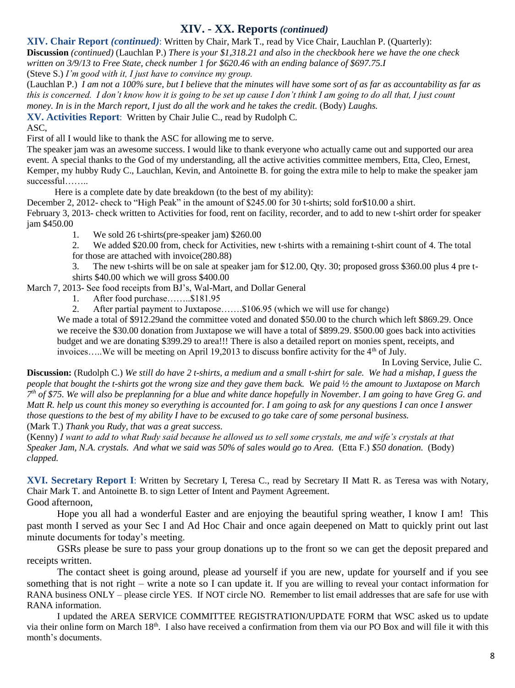# \ **XIV. - XX. Reports** *(continued)*

**XIV. Chair Report** *(continued)*: Written by Chair, Mark T., read by Vice Chair, Lauchlan P. (Quarterly):

**Discussion** *(continued)* (Lauchlan P.) *There is your \$1,318.21 and also in the checkbook here we have the one check written on 3/9/13 to Free State, check number 1 for \$620.46 with an ending balance of \$697.75.I*

(Steve S.) *I'm good with it, I just have to convince my group.*

(Lauchlan P.) *I am not a 100% sure, but I believe that the minutes will have some sort of as far as accountability as far as this is concerned. I don't know how it is going to be set up cause I don't think I am going to do all that, I just count money. In is in the March report, I just do all the work and he takes the credit.* (Body) *Laughs.* 

**XV. Activities Report**: Written by Chair Julie C., read by Rudolph C.

ASC,

First of all I would like to thank the ASC for allowing me to serve.

The speaker jam was an awesome success. I would like to thank everyone who actually came out and supported our area event. A special thanks to the God of my understanding, all the active activities committee members, Etta, Cleo, Ernest, Kemper, my hubby Rudy C., Lauchlan, Kevin, and Antoinette B. for going the extra mile to help to make the speaker jam successful……..

Here is a complete date by date breakdown (to the best of my ability):

December 2, 2012- check to "High Peak" in the amount of \$245.00 for 30 t-shirts; sold for \$10.00 a shirt. February 3, 2013- check written to Activities for food, rent on facility, recorder, and to add to new t-shirt order for speaker jam \$450.00

1. We sold 26 t-shirts(pre-speaker jam) \$260.00

2. We added \$20.00 from, check for Activities, new t-shirts with a remaining t-shirt count of 4. The total for those are attached with invoice(280.88)

3. The new t-shirts will be on sale at speaker jam for \$12.00, Qty. 30; proposed gross \$360.00 plus 4 pre tshirts \$40.00 which we will gross \$400.00

March 7, 2013- See food receipts from BJ's, Wal-Mart, and Dollar General

1. After food purchase……..\$181.95

2. After partial payment to Juxtapose…….\$106.95 (which we will use for change)

We made a total of \$912.29and the committee voted and donated \$50.00 to the church which left \$869.29. Once we receive the \$30.00 donation from Juxtapose we will have a total of \$899.29. \$500.00 goes back into activities budget and we are donating \$399.29 to area!!! There is also a detailed report on monies spent, receipts, and invoices.....We will be meeting on April 19,2013 to discuss bonfire activity for the  $4<sup>th</sup>$  of July.

In Loving Service, Julie C.

**Discussion:** (Rudolph C.) *We still do have 2 t-shirts, a medium and a small t-shirt for sale. We had a mishap, I guess the people that bought the t-shirts got the wrong size and they gave them back. We paid ½ the amount to Juxtapose on March 7 th of \$75. We will also be preplanning for a blue and white dance hopefully in November. I am going to have Greg G. and Matt R. help us count this money so everything is accounted for. I am going to ask for any questions I can once I answer those questions to the best of my ability I have to be excused to go take care of some personal business.*  (Mark T.) *Thank you Rudy, that was a great success.* 

(Kenny) *I want to add to what Rudy said because he allowed us to sell some crystals, me and wife's crystals at that Speaker Jam, N.A. crystals. And what we said was 50% of sales would go to Area.* (Etta F.) *\$50 donation.* (Body) *clapped.*

**XVI. Secretary Report I**: Written by Secretary I, Teresa C., read by Secretary II Matt R. as Teresa was with Notary, Chair Mark T. and Antoinette B. to sign Letter of Intent and Payment Agreement. Good afternoon,

Hope you all had a wonderful Easter and are enjoying the beautiful spring weather, I know I am! This past month I served as your Sec I and Ad Hoc Chair and once again deepened on Matt to quickly print out last minute documents for today's meeting.

GSRs please be sure to pass your group donations up to the front so we can get the deposit prepared and receipts written.

The contact sheet is going around, please ad yourself if you are new, update for yourself and if you see something that is not right – write a note so I can update it. If you are willing to reveal your contact information for RANA business ONLY – please circle YES. If NOT circle NO. Remember to list email addresses that are safe for use with RANA information.

I updated the AREA SERVICE COMMITTEE REGISTRATION/UPDATE FORM that WSC asked us to update via their online form on March  $18<sup>th</sup>$ . I also have received a confirmation from them via our PO Box and will file it with this month's documents.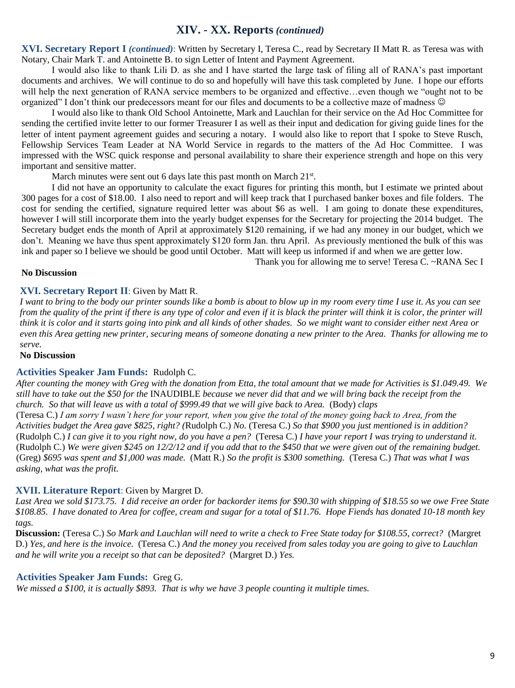### **XIV. - XX. Reports** *(continued)*

**XVI. Secretary Report I** *(continued)*: Written by Secretary I, Teresa C., read by Secretary II Matt R. as Teresa was with Notary, Chair Mark T. and Antoinette B. to sign Letter of Intent and Payment Agreement.

I would also like to thank Lili D. as she and I have started the large task of filing all of RANA's past important documents and archives. We will continue to do so and hopefully will have this task completed by June. I hope our efforts will help the next generation of RANA service members to be organized and effective…even though we "ought not to be organized" I don't think our predecessors meant for our files and documents to be a collective maze of madness

I would also like to thank Old School Antoinette, Mark and Lauchlan for their service on the Ad Hoc Committee for sending the certified invite letter to our former Treasurer I as well as their input and dedication for giving guide lines for the letter of intent payment agreement guides and securing a notary. I would also like to report that I spoke to Steve Rusch, Fellowship Services Team Leader at NA World Service in regards to the matters of the Ad Hoc Committee. I was impressed with the WSC quick response and personal availability to share their experience strength and hope on this very important and sensitive matter.

March minutes were sent out 6 days late this past month on March 21st.

I did not have an opportunity to calculate the exact figures for printing this month, but I estimate we printed about 300 pages for a cost of \$18.00. I also need to report and will keep track that I purchased banker boxes and file folders. The cost for sending the certified, signature required letter was about \$6 as well. I am going to donate these expenditures, however I will still incorporate them into the yearly budget expenses for the Secretary for projecting the 2014 budget. The Secretary budget ends the month of April at approximately \$120 remaining, if we had any money in our budget, which we don't. Meaning we have thus spent approximately \$120 form Jan. thru April. As previously mentioned the bulk of this was ink and paper so I believe we should be good until October. Matt will keep us informed if and when we are getter low. Thank you for allowing me to serve! Teresa C. ~RANA Sec I

#### **No Discussion**

## **XVI. Secretary Report II**: Given by Matt R.

*I want to bring to the body our printer sounds like a bomb is about to blow up in my room every time I use it. As you can see from the quality of the print if there is any type of color and even if it is black the printer will think it is color, the printer will think it is color and it starts going into pink and all kinds of other shades. So we might want to consider either next Area or even this Area getting new printer, securing means of someone donating a new printer to the Area. Thanks for allowing me to serve.*

#### **No Discussion**

#### **Activities Speaker Jam Funds:** Rudolph C.

*After counting the money with Greg with the donation from Etta, the total amount that we made for Activities is \$1.049.49. We still have to take out the \$50 for the* INAUDIBLE *because we never did that and we will bring back the receipt from the church. So that will leave us with a total of \$999.49 that we will give back to Area.* (Body) *claps* (Teresa C.) *I am sorry I wasn't here for your report, when you give the total of the money going back to Area, from the Activities budget the Area gave \$825, right? (*Rudolph C.) *No.* (Teresa C.) *So that \$900 you just mentioned is in addition?* (Rudolph C.) *I can give it to you right now, do you have a pen?* (Teresa C.) *I have your report I was trying to understand it.*  (Rudolph C.) *We were given \$245 on 12/2/12 and if you add that to the \$450 that we were given out of the remaining budget.* (Greg) *\$695 was spent and \$1,000 was made.* (Matt R.) *So the profit is \$300 something.* (Teresa C.) *That was what I was asking, what was the profit.* 

#### **XVII. Literature Report**: Given by Margret D.

*Last Area we sold \$173.75. I did receive an order for backorder items for \$90.30 with shipping of \$18.55 so we owe Free State \$108.85. I have donated to Area for coffee, cream and sugar for a total of \$11.76. Hope Fiends has donated 10-18 month key tags.*

**Discussion:** (Teresa C.) *So Mark and Lauchlan will need to write a check to Free State today for \$108.55, correct?* (Margret D.) *Yes, and here is the invoice.* (Teresa C.) *And the money you received from sales today you are going to give to Lauchlan and he will write you a receipt so that can be deposited?* (Margret D.) *Yes.*

#### **Activities Speaker Jam Funds:** Greg G.

*We missed a \$100, it is actually \$893. That is why we have 3 people counting it multiple times.*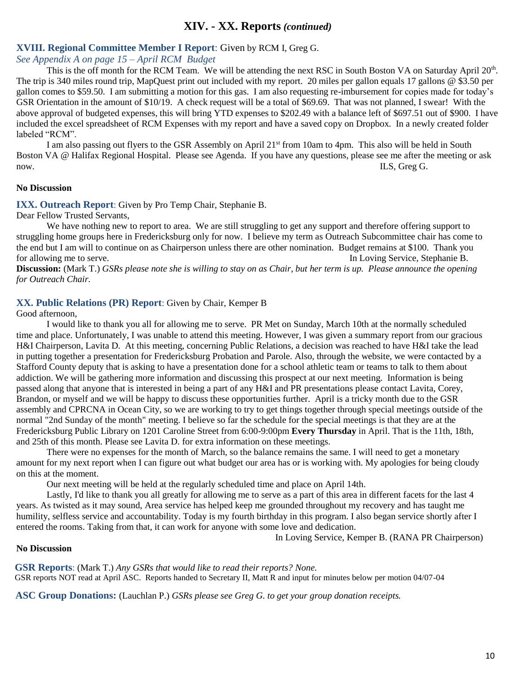### **XIV. - XX. Reports** *(continued)*

#### **XVIII. Regional Committee Member I Report**: Given by RCM I, Greg G.

*See Appendix A on page 15 – April RCM Budget*

This is the off month for the RCM Team. We will be attending the next RSC in South Boston VA on Saturday April 20<sup>th</sup>. The trip is 340 miles round trip, MapQuest print out included with my report. 20 miles per gallon equals 17 gallons @ \$3.50 per gallon comes to \$59.50. I am submitting a motion for this gas. I am also requesting re-imbursement for copies made for today's GSR Orientation in the amount of \$10/19. A check request will be a total of \$69.69. That was not planned, I swear! With the above approval of budgeted expenses, this will bring YTD expenses to \$202.49 with a balance left of \$697.51 out of \$900. I have included the excel spreadsheet of RCM Expenses with my report and have a saved copy on Dropbox. In a newly created folder labeled "RCM".

I am also passing out flyers to the GSR Assembly on April 21<sup>st</sup> from 10am to 4pm. This also will be held in South Boston VA @ Halifax Regional Hospital. Please see Agenda. If you have any questions, please see me after the meeting or ask now. ILS, Greg G.

#### **No Discussion**

**IXX. Outreach Report**: Given by Pro Temp Chair, Stephanie B.

Dear Fellow Trusted Servants,

We have nothing new to report to area. We are still struggling to get any support and therefore offering support to struggling home groups here in Fredericksburg only for now. I believe my term as Outreach Subcommittee chair has come to the end but I am will to continue on as Chairperson unless there are other nomination. Budget remains at \$100. Thank you for allowing me to serve. In Loving Service, Stephanie B.

**Discussion:** (Mark T.) *GSRs please note she is willing to stay on as Chair, but her term is up. Please announce the opening for Outreach Chair.* 

#### **XX. Public Relations (PR) Report**: Given by Chair, Kemper B

Good afternoon,

I would like to thank you all for allowing me to serve. PR Met on Sunday, March 10th at the normally scheduled time and place. Unfortunately, I was unable to attend this meeting. However, I was given a summary report from our gracious H&I Chairperson, Lavita D. At this meeting, concerning Public Relations, a decision was reached to have H&I take the lead in putting together a presentation for Fredericksburg Probation and Parole. Also, through the website, we were contacted by a Stafford County deputy that is asking to have a presentation done for a school athletic team or teams to talk to them about addiction. We will be gathering more information and discussing this prospect at our next meeting. Information is being passed along that anyone that is interested in being a part of any H&I and PR presentations please contact Lavita, Corey, Brandon, or myself and we will be happy to discuss these opportunities further. April is a tricky month due to the GSR assembly and CPRCNA in Ocean City, so we are working to try to get things together through special meetings outside of the normal "2nd Sunday of the month" meeting. I believe so far the schedule for the special meetings is that they are at the Fredericksburg Public Library on 1201 Caroline Street from 6:00-9:00pm **Every Thursday** in April. That is the 11th, 18th, and 25th of this month. Please see Lavita D. for extra information on these meetings.

There were no expenses for the month of March, so the balance remains the same. I will need to get a monetary amount for my next report when I can figure out what budget our area has or is working with. My apologies for being cloudy on this at the moment.

Our next meeting will be held at the regularly scheduled time and place on April 14th.

Lastly, I'd like to thank you all greatly for allowing me to serve as a part of this area in different facets for the last 4 years. As twisted as it may sound, Area service has helped keep me grounded throughout my recovery and has taught me humility, selfless service and accountability. Today is my fourth birthday in this program. I also began service shortly after I entered the rooms. Taking from that, it can work for anyone with some love and dedication.

In Loving Service, Kemper B. (RANA PR Chairperson)

#### **No Discussion**

**GSR Reports**: (Mark T.) *Any GSRs that would like to read their reports? None.* GSR reports NOT read at April ASC. Reports handed to Secretary II, Matt R and input for minutes below per motion 04/07-04

**ASC Group Donations:** (Lauchlan P.) *GSRs please see Greg G. to get your group donation receipts.*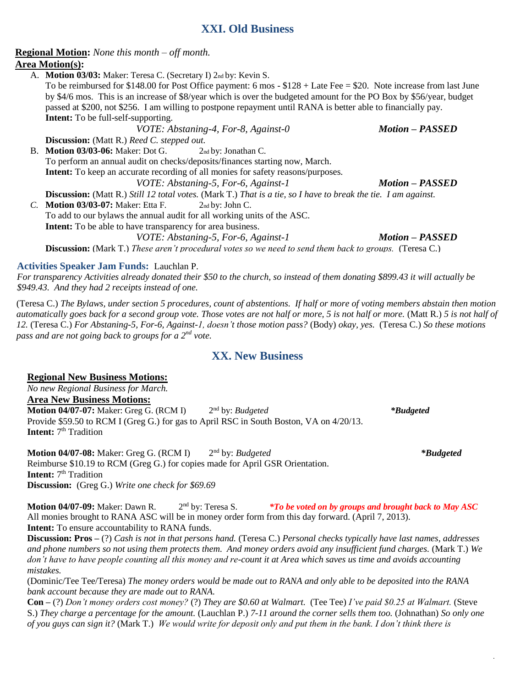## **XXI. Old Business**

### **Regional Motion:** *None this month – off month.*

### **Area Motion(s):**

A. **Motion 03/03:** Maker: Teresa C. (Secretary I) 2nd by: Kevin S.

To be reimbursed for \$148.00 for Post Office payment: 6 mos - \$128 + Late Fee = \$20. Note increase from last June by \$4/6 mos. This is an increase of \$8/year which is over the budgeted amount for the PO Box by \$56/year, budget passed at \$200, not \$256. I am willing to postpone repayment until RANA is better able to financially pay. **Intent:** To be full-self-supporting.

*VOTE: Abstaning-4, For-8, Against-0 Motion – PASSED*

**Discussion:** (Matt R.) *Reed C. stepped out.*

B. **Motion 03/03-06:** Maker: Dot G. 2nd by: Jonathan C. To perform an annual audit on checks/deposits/finances starting now, March. **Intent:** To keep an accurate recording of all monies for safety reasons/purposes. *VOTE: Abstaning-5, For-6, Against-1 Motion – PASSED*

**Discussion:** (Matt R.) *Still 12 total votes.* (Mark T.) *That is a tie, so I have to break the tie. I am against.* 

*C.* **Motion 03/03-07:** Maker: Etta F. 2nd by: John C. To add to our bylaws the annual audit for all working units of the ASC. **Intent:** To be able to have transparency for area business.

*VOTE: Abstaning-5, For-6, Against-1 Motion – PASSED*

**Discussion:** (Mark T.) *These aren't procedural votes so we need to send them back to groups.* (Teresa C.)

### **Activities Speaker Jam Funds:** Lauchlan P.

*For transparency Activities already donated their \$50 to the church, so instead of them donating \$899.43 it will actually be \$949.43. And they had 2 receipts instead of one.*

(Teresa C.) *The Bylaws, under section 5 procedures, count of abstentions. If half or more of voting members abstain then motion automatically goes back for a second group vote. Those votes are not half or more, 5 is not half or more.* (Matt R.) *5 is not half of 12.* (Teresa C.) *For Abstaning-5, For-6, Against-1, doesn't those motion pass?* (Body) *okay, yes.* (Teresa C.) *So these motions pass and are not going back to groups for a 2nd vote.* 

## **XX. New Business**

### **Regional New Business Motions:**

*No new Regional Business for March.*

**Area New Business Motions:**

**Motion 04/07-07:** Maker: Greg G. (RCM I) nd by: *Budgeted \*Budgeted* Provide \$59.50 to RCM I (Greg G.) for gas to April RSC in South Boston, VA on 4/20/13. **Intent:** 7<sup>th</sup> Tradition

**Motion 04/07-08:** Maker: Greg G. (RCM I) nd by: *Budgeted \*Budgeted* Reimburse \$10.19 to RCM (Greg G.) for copies made for April GSR Orientation. **Intent:** 7<sup>th</sup> Tradition **Discussion:** (Greg G.) *Write one check for \$69.69*

**Motion 04/07-09:** Maker: Dawn R. 2<sup>nd</sup> by: Teresa S. *\*To be voted on by groups and brought back to May ASC* All monies brought to RANA ASC will be in money order form from this day forward. (April 7, 2013). **Intent:** To ensure accountability to RANA funds.

**Discussion: Pros –** (?) *Cash is not in that persons hand.* (Teresa C.) *Personal checks typically have last names, addresses and phone numbers so not using them protects them. And money orders avoid any insufficient fund charges.* (Mark T.) *We*  don't have to have people counting all this money and re-count it at Area which saves us time and avoids accounting *mistakes.* 

(Dominic/Tee Tee/Teresa) *The money orders would be made out to RANA and only able to be deposited into the RANA bank account because they are made out to RANA.*

**Con –** (?) *Don't money orders cost money?* (?) *They are \$0.60 at Walmart.* (Tee Tee) *I've paid \$0.25 at Walmart.* (Steve S.) *They charge a percentage for the amount.* (Lauchlan P.) *7-11 around the corner sells them too.* (Johnathan) *So only one of you guys can sign it?* (Mark T.) *We would write for deposit only and put them in the bank. I don't think there is* 

11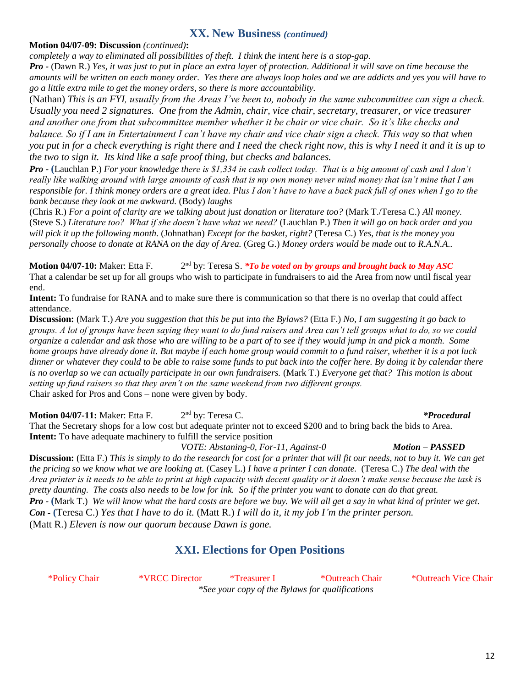### **XX. New Business** *(continued)*

#### **Motion 04/07-09: Discussion** *(continued)***:**

*completely a way to eliminated all possibilities of theft. I think the intent here is a stop-gap.* 

*Pro -* (Dawn R.) *Yes, it was just to put in place an extra layer of protection. Additional it will save on time because the amounts will be written on each money order. Yes there are always loop holes and we are addicts and yes you will have to go a little extra mile to get the money orders, so there is more accountability.*

(Nathan) *This is an FYI, usually from the Areas I've been to, nobody in the same subcommittee can sign a check. Usually you need 2 signatures. One from the Admin, chair, vice chair, secretary, treasurer, or vice treasurer and another one from that subcommittee member whether it be chair or vice chair. So it's like checks and balance. So if I am in Entertainment I can't have my chair and vice chair sign a check. This way so that when you put in for a check everything is right there and I need the check right now, this is why I need it and it is up to the two to sign it. Its kind like a safe proof thing, but checks and balances.*

*Pro -* **(**Lauchlan P.) *For your knowledge there is \$1,334 in cash collect today. That is a big amount of cash and I don't really like walking around with large amounts of cash that is my own money never mind money that isn't mine that I am responsible for. I think money orders are a great idea. Plus I don't have to have a back pack full of ones when I go to the bank because they look at me awkward.* (Body) *laughs*

(Chris R.) *For a point of clarity are we talking about just donation or literature too?* (Mark T./Teresa C.) *All money.*  (Steve S.) *Literature too? What if she doesn't have what we need?* (Lauchlan P.) *Then it will go on back order and you will pick it up the following month.* (Johnathan) *Except for the basket, right?* (Teresa C.) *Yes, that is the money you personally choose to donate at RANA on the day of Area.* (Greg G.) *Money orders would be made out to R.A.N.A..*

**Motion 04/07-10:** Maker: Etta F. 2 2<sup>nd</sup> by: Teresa S. *\*To be voted on by groups and brought back to May ASC* That a calendar be set up for all groups who wish to participate in fundraisers to aid the Area from now until fiscal year end.

**Intent:** To fundraise for RANA and to make sure there is communication so that there is no overlap that could affect attendance.

**Discussion:** (Mark T.) *Are you suggestion that this be put into the Bylaws?* (Etta F.) *No, I am suggesting it go back to groups. A lot of groups have been saying they want to do fund raisers and Area can't tell groups what to do, so we could organize a calendar and ask those who are willing to be a part of to see if they would jump in and pick a month. Some home groups have already done it. But maybe if each home group would commit to a fund raiser, whether it is a pot luck dinner or whatever they could to be able to raise some funds to put back into the coffer here. By doing it by calendar there is no overlap so we can actually participate in our own fundraisers.* (Mark T.) *Everyone get that? This motion is about setting up fund raisers so that they aren't on the same weekend from two different groups.*  Chair asked for Pros and Cons – none were given by body.

**Motion 04/07-11:** Maker: Etta F. 2 2<sup>nd</sup> by: Teresa C. *\*Procedural* That the Secretary shops for a low cost but adequate printer not to exceed \$200 and to bring back the bids to Area. **Intent:** To have adequate machinery to fulfill the service position

*VOTE: Abstaning-0, For-11, Against-0 Motion – PASSED* **Discussion:** (Etta F.) *This is simply to do the research for cost for a printer that will fit our needs, not to buy it. We can get the pricing so we know what we are looking at.* (Casey L.) *I have a printer I can donate.* (Teresa C.) *The deal with the Area printer is it needs to be able to print at high capacity with decent quality or it doesn't make sense because the task is pretty daunting. The costs also needs to be low for ink. So if the printer you want to donate can do that great. Pro -* **(**Mark T.) *We will know what the hard costs are before we buy. We will all get a say in what kind of printer we get. Con -* **(**Teresa C.) *Yes that I have to do it.* (Matt R.) *I will do it, it my job I'm the printer person.* (Matt R.) *Eleven is now our quorum because Dawn is gone.* 

## **XXI. Elections for Open Positions**

\*Policy Chair \*VRCC Director \*Treasurer I \*Outreach Chair \*Outreach Vice Chair *\*See your copy of the Bylaws for qualifications*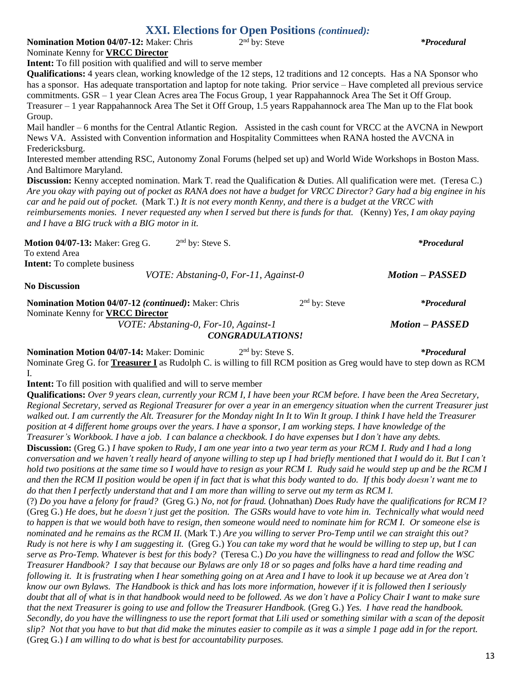### **XXI. Elections for Open Positions** *(continued):*

**Nomination Motion 04/07-12:** Maker: Chris 2<sup>nd</sup> by: Steve Nominate Kenny for **VRCC Director**

nd by: Steve *\*Procedural*

**Intent:** To fill position with qualified and will to serve member

**Qualifications:** 4 years clean, working knowledge of the 12 steps, 12 traditions and 12 concepts. Has a NA Sponsor who has a sponsor. Has adequate transportation and laptop for note taking. Prior service – Have completed all previous service commitments. GSR – 1 year Clean Acres area The Focus Group, 1 year Rappahannock Area The Set it Off Group. Treasurer – 1 year Rappahannock Area The Set it Off Group, 1.5 years Rappahannock area The Man up to the Flat book Group.

Mail handler – 6 months for the Central Atlantic Region. Assisted in the cash count for VRCC at the AVCNA in Newport News VA. Assisted with Convention information and Hospitality Committees when RANA hosted the AVCNA in Fredericksburg.

Interested member attending RSC, Autonomy Zonal Forums (helped set up) and World Wide Workshops in Boston Mass. And Baltimore Maryland.

**Discussion:** Kenny accepted nomination. Mark T. read the Qualification & Duties. All qualification were met. (Teresa C.) *Are you okay with paying out of pocket as RANA does not have a budget for VRCC Director? Gary had a big enginee in his car and he paid out of pocket.* (Mark T.) *It is not every month Kenny, and there is a budget at the VRCC with reimbursements monies. I never requested any when I served but there is funds for that.* (Kenny) *Yes, I am okay paying and I have a BIG truck with a BIG motor in it.*

**Motion 04/07-13:** Maker: Greg G. 2 2<sup>nd</sup> by: Steve S. *\*Procedural* To extend Area **Intent:** To complete business *VOTE: Abstaning-0, For-11, Against-0 Motion – PASSED* **No Discussion Nomination Motion 04/07-12** *(continued)***:** Maker: Chris 2 2<sup>nd</sup> by: Steve *\*Procedural* Nominate Kenny for **VRCC Director** *VOTE: Abstaning-0, For-10, Against-1 Motion – PASSED CONGRADULATIONS!*

**Nomination Motion 04/07-14: Maker: Dominic** 2<sup>nd</sup> by: Steve S. *\*Procedural* Nominate Greg G. for **Treasurer I** as Rudolph C. is willing to fill RCM position as Greg would have to step down as RCM I.

**Intent:** To fill position with qualified and will to serve member

**Qualifications:** *Over 9 years clean, currently your RCM I, I have been your RCM before. I have been the Area Secretary, Regional Secretary, served as Regional Treasurer for over a year in an emergency situation when the current Treasurer just walked out. I am currently the Alt. Treasurer for the Monday night In It to Win It group. I think I have held the Treasurer position at 4 different home groups over the years. I have a sponsor, I am working steps. I have knowledge of the Treasurer's Workbook. I have a job. I can balance a checkbook. I do have expenses but I don't have any debts.* **Discussion:** (Greg G.) *I have spoken to Rudy, I am one year into a two year term as your RCM I. Rudy and I had a long conversation and we haven't really heard of anyone willing to step up I had briefly mentioned that I would do it. But I can't hold two positions at the same time so I would have to resign as your RCM I. Rudy said he would step up and be the RCM I and then the RCM II position would be open if in fact that is what this body wanted to do. If this body doesn't want me to do that then I perfectly understand that and I am more than willing to serve out my term as RCM I.*  (?) *Do you have a felony for fraud?* (Greg G.) *No, not for fraud.* (Johnathan) *Does Rudy have the qualifications for RCM I?*  (Greg G.) *He does, but he doesn't just get the position. The GSRs would have to vote him in. Technically what would need to happen is that we would both have to resign, then someone would need to nominate him for RCM I. Or someone else is nominated and he remains as the RCM II.* (Mark T.) *Are you willing to server Pro-Temp until we can straight this out? Rudy is not here is why I am suggesting it.* (Greg G.) *You can take my word that he would be willing to step up, but I can serve as Pro-Temp. Whatever is best for this body?* (Teresa C.) *Do you have the willingness to read and follow the WSC Treasurer Handbook? I say that because our Bylaws are only 18 or so pages and folks have a hard time reading and following it. It is frustrating when I hear something going on at Area and I have to look it up because we at Area don't know our own Bylaws. The Handbook is thick and has lots more information, however if it is followed then I seriously doubt that all of what is in that handbook would need to be followed. As we don't have a Policy Chair I want to make sure that the next Treasurer is going to use and follow the Treasurer Handbook.* (Greg G.) *Yes. I have read the handbook. Secondly, do you have the willingness to use the report format that Lili used or something similar with a scan of the deposit slip? Not that you have to but that did make the minutes easier to compile as it was a simple 1 page add in for the report.*  (Greg G.) *I am willing to do what is best for accountability purposes.*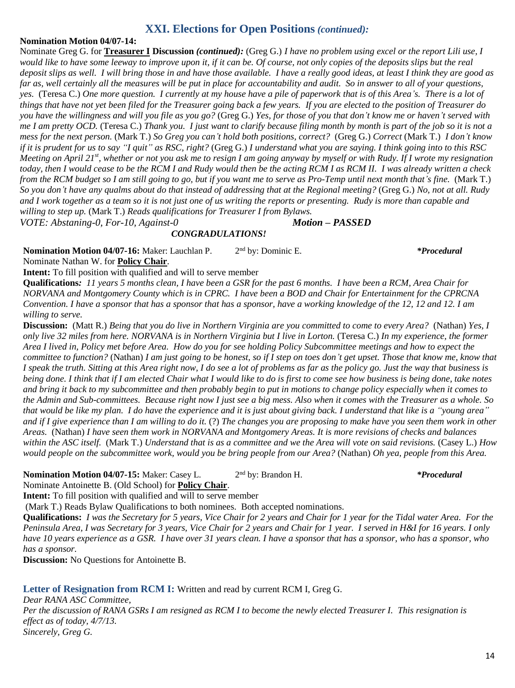## **XXI. Elections for Open Positions** *(continued):*

### **Nomination Motion 04/07-14:**

Nominate Greg G. for **Treasurer I Discussion** *(continued):* (Greg G.) *I have no problem using excel or the report Lili use, I would like to have some leeway to improve upon it, if it can be. Of course, not only copies of the deposits slips but the real deposit slips as well. I will bring those in and have those available. I have a really good ideas, at least I think they are good as far as, well certainly all the measures will be put in place for accountability and audit. So in answer to all of your questions, yes.* (Teresa C.) *One more question. I currently at my house have a pile of paperwork that is of this Area's. There is a lot of things that have not yet been filed for the Treasurer going back a few years. If you are elected to the position of Treasurer do you have the willingness and will you file as you go?* (Greg G.) *Yes, for those of you that don't know me or haven't served with me I am pretty OCD.* (Teresa C.) *Thank you. I just want to clarify because filing month by month is part of the job so it is not a mess for the next person.* (Mark T.) *So Greg you can't hold both positions, correct?* (Greg G.) *Correct* (Mark T.) *I don't know if it is prudent for us to say "I quit" as RSC, right?* (Greg G.) *I understand what you are saying. I think going into to this RSC Meeting on April 21st , whether or not you ask me to resign I am going anyway by myself or with Rudy. If I wrote my resignation*  today, then I would cease to be the RCM I and Rudy would then be the acting RCM I as RCM II. I was already written a check *from the RCM budget so I am still going to go, but if you want me to serve as Pro-Temp until next month that's fine.* (Mark T.) *So you don't have any qualms about do that instead of addressing that at the Regional meeting?* (Greg G.) *No, not at all. Rudy and I work together as a team so it is not just one of us writing the reports or presenting. Rudy is more than capable and willing to step up.* (Mark T.) *Reads qualifications for Treasurer I from Bylaws.*

*VOTE: Abstaning-0, For-10, Against-0 Motion – PASSED*

*CONGRADULATIONS!* 

Nomination Motion 04/07-16: Maker: Lauchlan P. 2<sup>nd</sup> by: Dominic E. *\*Procedural* Nominate Nathan W. for **Policy Chair**.

**Intent:** To fill position with qualified and will to serve member

**Qualifications***: 11 years 5 months clean, I have been a GSR for the past 6 months. I have been a RCM, Area Chair for NORVANA and Montgomery County which is in CPRC. I have been a BOD and Chair for Entertainment for the CPRCNA Convention. I have a sponsor that has a sponsor that has a sponsor, have a working knowledge of the 12, 12 and 12. I am willing to serve.*

**Discussion:** (Matt R.) *Being that you do live in Northern Virginia are you committed to come to every Area?* (Nathan) *Yes, I only live 32 miles from here. NORVANA is in Northern Virginia but I live in Lorton.* (Teresa C.) *In my experience, the former Area I lived in, Policy met before Area. How do you for see holding Policy Subcommittee meetings and how to expect the committee to function?* (Nathan) *I am just going to be honest, so if I step on toes don't get upset. Those that know me, know that I speak the truth. Sitting at this Area right now, I do see a lot of problems as far as the policy go. Just the way that business is being done. I think that if I am elected Chair what I would like to do is first to come see how business is being done, take notes and bring it back to my subcommittee and then probably begin to put in motions to change policy especially when it comes to the Admin and Sub-committees. Because right now I just see a big mess. Also when it comes with the Treasurer as a whole. So that would be like my plan. I do have the experience and it is just about giving back. I understand that like is a "young area" and if I give experience than I am willing to do it.* (?) *The changes you are proposing to make have you seen them work in other Areas.* (Nathan) *I have seen them work in NORVANA and Montgomery Areas. It is more revisions of checks and balances within the ASC itself.* (Mark T.) *Understand that is as a committee and we the Area will vote on said revisions.* (Casey L.) *How would people on the subcommittee work, would you be bring people from our Area?* (Nathan) *Oh yea, people from this Area.* 

#### **Nomination Motion 04/07-15:** Maker: Casey L. 2

2<sup>nd</sup> by: Brandon H. *\*Procedural* 

Nominate Antoinette B. (Old School) for **Policy Chair**.

**Intent:** To fill position with qualified and will to serve member

(Mark T.) Reads Bylaw Qualifications to both nominees. Both accepted nominations.

**Qualifications:** *I was the Secretary for 5 years, Vice Chair for 2 years and Chair for 1 year for the Tidal water Area. For the Peninsula Area, I was Secretary for 3 years, Vice Chair for 2 years and Chair for 1 year. I served in H&I for 16 years. I only have 10 years experience as a GSR. I have over 31 years clean. I have a sponsor that has a sponsor, who has a sponsor, who has a sponsor.* 

**Discussion:** No Questions for Antoinette B.

## **Letter of Resignation from RCM I:** Written and read by current RCM I, Greg G.

*Dear RANA ASC Committee, Per the discussion of RANA GSRs I am resigned as RCM I to become the newly elected Treasurer I. This resignation is effect as of today, 4/7/13. Sincerely, Greg G.*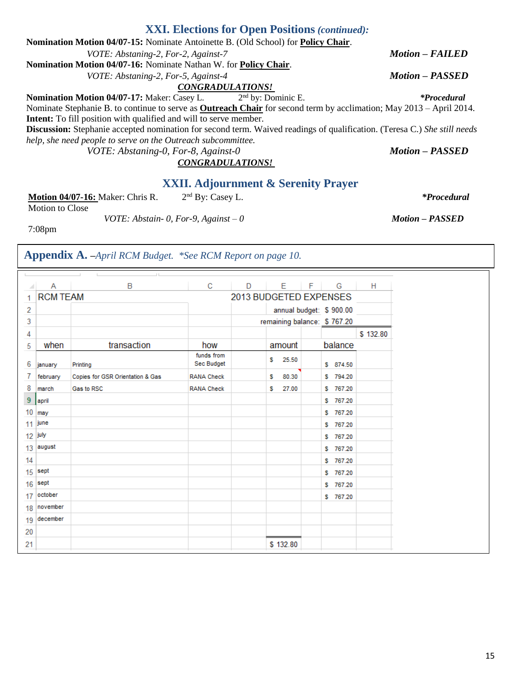# **XXI. Elections for Open Positions** *(continued):*

| Nomination Motion 04/07-15: Nominate Antoinette B. (Old School) for Policy Chair.                                               |                                |                        |
|---------------------------------------------------------------------------------------------------------------------------------|--------------------------------|------------------------|
| VOTE: Abstaning-2, For-2, Against-7                                                                                             |                                | <b>Motion - FAILED</b> |
| <b>Nomination Motion 04/07-16:</b> Nominate Nathan W. for <b>Policy Chair.</b>                                                  |                                |                        |
| VOTE: Abstaning-2, For-5, Against-4                                                                                             |                                | <b>Motion - PASSED</b> |
| <b>CONGRADULATIONS!</b>                                                                                                         |                                |                        |
| Nomination Motion 04/07-17: Maker: Casey L.                                                                                     | 2 <sup>nd</sup> by: Dominic E. | <i>*Procedural</i>     |
| Nominate Stephanie B. to continue to serve as <b>Outreach Chair</b> for second term by acclimation; May 2013 – April 2014.      |                                |                        |
| Intent: To fill position with qualified and will to serve member.                                                               |                                |                        |
| <b>Discussion:</b> Stephanie accepted nomination for second term. Waived readings of qualification. (Teresa C.) She still needs |                                |                        |
| help, she need people to serve on the Outreach subcommittee.                                                                    |                                |                        |
| VOTE: Abstaning-0, For-8, Against-0                                                                                             |                                | <b>Motion - PASSED</b> |
| <b>CONGRADULATIONS!</b>                                                                                                         |                                |                        |

# **XXII. Adjournment & Serenity Prayer**

| <b>Motion 04/07-16: Maker: Chris R.</b> | $2nd$ By: Casey L. | <i>*Procedural</i> |
|-----------------------------------------|--------------------|--------------------|
|-----------------------------------------|--------------------|--------------------|

Motion to Close

*VOTE: Abstain- 0, For-9, Against – 0 Motion – PASSED*

7:08pm

# **Appendix A. –***April RCM Budget. \*See RCM Report on page 10.*

|           | Α        | B                                         | C                        | D | E.         | $F -$ | G                           | H        |  |
|-----------|----------|-------------------------------------------|--------------------------|---|------------|-------|-----------------------------|----------|--|
| 1         |          | <b>RCM TEAM</b><br>2013 BUDGETED EXPENSES |                          |   |            |       |                             |          |  |
| 2         |          |                                           |                          |   |            |       | annual budget: \$900.00     |          |  |
| 3         |          |                                           |                          |   |            |       | remaining balance: \$767.20 |          |  |
| 4         |          |                                           |                          |   |            |       |                             | \$132.80 |  |
| 5         | when     | transaction                               | how                      |   | amount     |       | balance                     |          |  |
| 6         | january  | Printing                                  | funds from<br>Sec Budget |   | 25.50<br>s |       | \$ 874.50                   |          |  |
| 7         | february | Copies for GSR Orientation & Gas          | <b>RANA Check</b>        |   | 80.30<br>s |       | \$794.20                    |          |  |
| 8         | march    | Gas to RSC                                | <b>RANA Check</b>        |   | 27.00<br>s |       | \$767.20                    |          |  |
| 9         | april    |                                           |                          |   |            |       | 767.20<br>s                 |          |  |
| 10        | may      |                                           |                          |   |            |       | s<br>767.20                 |          |  |
| 11 june   |          |                                           |                          |   |            |       | 767.20<br>s                 |          |  |
| $12$ july |          |                                           |                          |   |            |       | \$767.20                    |          |  |
| 13        | august   |                                           |                          |   |            |       | \$767.20                    |          |  |
| 14        |          |                                           |                          |   |            |       | 767.20<br>s                 |          |  |
| 15        | sept     |                                           |                          |   |            |       | 767.20<br>s                 |          |  |
| 16        | sept     |                                           |                          |   |            |       | 767.20<br>s                 |          |  |
| 17        | october  |                                           |                          |   |            |       | \$767.20                    |          |  |
| 18        | november |                                           |                          |   |            |       |                             |          |  |
| 19        | december |                                           |                          |   |            |       |                             |          |  |
| 20        |          |                                           |                          |   |            |       |                             |          |  |
| 21        |          |                                           |                          |   | \$132.80   |       |                             |          |  |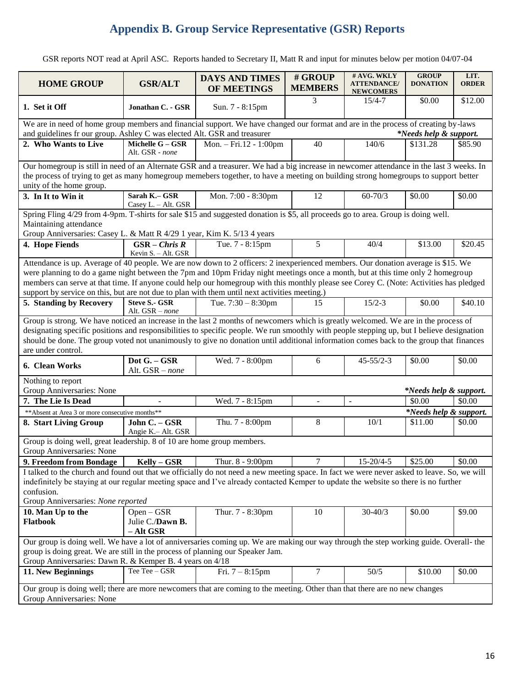# **Appendix B. Group Service Representative (GSR) Reports**

GSR reports NOT read at April ASC. Reports handed to Secretary II, Matt R and input for minutes below per motion 04/07-04

| <b>HOME GROUP</b>                                                                                                                                                                                                                                                                                                                                                                                                                                                                                              | <b>GSR/ALT</b>                          | <b>DAYS AND TIMES</b><br>OF MEETINGS |                | # AVG. WKLY<br><b>ATTENDANCE</b> /<br><b>NEWCOMERS</b> | <b>GROUP</b><br><b>DONATION</b> | LIT.<br><b>ORDER</b> |  |  |  |
|----------------------------------------------------------------------------------------------------------------------------------------------------------------------------------------------------------------------------------------------------------------------------------------------------------------------------------------------------------------------------------------------------------------------------------------------------------------------------------------------------------------|-----------------------------------------|--------------------------------------|----------------|--------------------------------------------------------|---------------------------------|----------------------|--|--|--|
| 1. Set it Off                                                                                                                                                                                                                                                                                                                                                                                                                                                                                                  | Jonathan C. - GSR                       | Sun. 7 - 8:15pm                      | 3              | $15/4 - 7$                                             | \$0.00                          | \$12.00              |  |  |  |
| We are in need of home group members and financial support. We have changed our format and are in the process of creating by-laws                                                                                                                                                                                                                                                                                                                                                                              |                                         |                                      |                |                                                        |                                 |                      |  |  |  |
| and guidelines fr our group. Ashley C was elected Alt. GSR and treasurer<br>*Needs help & support.                                                                                                                                                                                                                                                                                                                                                                                                             |                                         |                                      |                |                                                        |                                 |                      |  |  |  |
| 2. Who Wants to Live                                                                                                                                                                                                                                                                                                                                                                                                                                                                                           | Michelle G - GSR<br>Alt. GSR - none     | Mon. - Fri.12 - 1:00pm               | 40             | 140/6                                                  | \$131.28                        | \$85.90              |  |  |  |
| Our homegroup is still in need of an Alternate GSR and a treasurer. We had a big increase in newcomer attendance in the last 3 weeks. In                                                                                                                                                                                                                                                                                                                                                                       |                                         |                                      |                |                                                        |                                 |                      |  |  |  |
| the process of trying to get as many homegroup memebers together, to have a meeting on building strong homegroups to support better                                                                                                                                                                                                                                                                                                                                                                            |                                         |                                      |                |                                                        |                                 |                      |  |  |  |
| unity of the home group.                                                                                                                                                                                                                                                                                                                                                                                                                                                                                       |                                         |                                      |                |                                                        |                                 |                      |  |  |  |
| 3. In It to Win it                                                                                                                                                                                                                                                                                                                                                                                                                                                                                             | Sarah K.- GSR<br>Casey L. - Alt. GSR    | Mon. 7:00 - 8:30pm                   | 12             | $60 - 70/3$                                            | \$0.00                          | \$0.00               |  |  |  |
| Spring Fling 4/29 from 4-9pm. T-shirts for sale \$15 and suggested donation is \$5, all proceeds go to area. Group is doing well.                                                                                                                                                                                                                                                                                                                                                                              |                                         |                                      |                |                                                        |                                 |                      |  |  |  |
| Maintaining attendance                                                                                                                                                                                                                                                                                                                                                                                                                                                                                         |                                         |                                      |                |                                                        |                                 |                      |  |  |  |
| Group Anniversaries: Casey L. & Matt R 4/29 1 year, Kim K. 5/13 4 years                                                                                                                                                                                                                                                                                                                                                                                                                                        |                                         |                                      |                |                                                        |                                 |                      |  |  |  |
| 4. Hope Fiends                                                                                                                                                                                                                                                                                                                                                                                                                                                                                                 | $GSR - Chris R$                         | Tue. 7 - 8:15pm                      | 5              | 40/4                                                   | \$13.00                         | \$20.45              |  |  |  |
|                                                                                                                                                                                                                                                                                                                                                                                                                                                                                                                | Kevin S. - Alt. GSR                     |                                      |                |                                                        |                                 |                      |  |  |  |
| Attendance is up. Average of 40 people. We are now down to 2 officers: 2 inexperienced members. Our donation average is \$15. We<br>were planning to do a game night between the 7pm and 10pm Friday night meetings once a month, but at this time only 2 homegroup<br>members can serve at that time. If anyone could help our homegroup with this monthly please see Corey C. (Note: Activities has pledged<br>support by service on this, but are not due to plan with them until next activities meeting.) |                                         |                                      |                |                                                        |                                 |                      |  |  |  |
| 5. Standing by Recovery                                                                                                                                                                                                                                                                                                                                                                                                                                                                                        | <b>Steve S.- GSR</b><br>Alt. GSR - none | Tue. $7:30 - 8:30$ pm                | 15             | $15/2 - 3$                                             | \$0.00                          | \$40.10              |  |  |  |
| Group is strong. We have noticed an increase in the last 2 months of newcomers which is greatly welcomed. We are in the process of<br>designating specific positions and responsibilities to specific people. We run smoothly with people stepping up, but I believe designation<br>should be done. The group voted not unanimously to give no donation until additional information comes back to the group that finances<br>are under control.                                                               |                                         |                                      |                |                                                        |                                 |                      |  |  |  |
| 6. Clean Works                                                                                                                                                                                                                                                                                                                                                                                                                                                                                                 | Dot G. - GSR<br>Alt. GSR - none         | Wed. 7 - 8:00pm                      | 6              | $45 - 55/2 - 3$                                        | \$0.00                          | \$0.00               |  |  |  |
| Nothing to report                                                                                                                                                                                                                                                                                                                                                                                                                                                                                              |                                         |                                      |                |                                                        |                                 |                      |  |  |  |
| Group Anniversaries: None                                                                                                                                                                                                                                                                                                                                                                                                                                                                                      |                                         |                                      |                |                                                        | *Needs help & support.          |                      |  |  |  |
| 7. The Lie Is Dead                                                                                                                                                                                                                                                                                                                                                                                                                                                                                             |                                         | Wed. 7 - 8:15pm                      | $\mathcal{L}$  | $\sim$                                                 | \$0.00                          | \$0.00               |  |  |  |
| ** Absent at Area 3 or more consecutive months**                                                                                                                                                                                                                                                                                                                                                                                                                                                               |                                         |                                      |                |                                                        | *Needs help & support.          |                      |  |  |  |
| 8. Start Living Group                                                                                                                                                                                                                                                                                                                                                                                                                                                                                          | John C. - GSR<br>Angie K.- Alt. GSR     | Thu. 7 - 8:00pm                      | 8              | 10/1                                                   | \$11.00                         | \$0.00               |  |  |  |
| Group is doing well, great leadership. 8 of 10 are home group members.                                                                                                                                                                                                                                                                                                                                                                                                                                         |                                         |                                      |                |                                                        |                                 |                      |  |  |  |
| Group Anniversaries: None                                                                                                                                                                                                                                                                                                                                                                                                                                                                                      |                                         |                                      |                |                                                        |                                 |                      |  |  |  |
| 9. Freedom from Bondage                                                                                                                                                                                                                                                                                                                                                                                                                                                                                        | $Kelly - GSR$                           | Thur. 8 - 9:00pm                     | 7              | $15 - 20/4 - 5$                                        | \$25.00                         | \$0.00               |  |  |  |
| I talked to the church and found out that we officially do not need a new meeting space. In fact we were never asked to leave. So, we will<br>indefinitely be staying at our regular meeting space and I've already contacted Kemper to update the website so there is no further<br>confusion.<br>Group Anniversaries: None reported                                                                                                                                                                          |                                         |                                      |                |                                                        |                                 |                      |  |  |  |
| 10. Man Up to the                                                                                                                                                                                                                                                                                                                                                                                                                                                                                              | $Open - GSR$                            | Thur. 7 - 8:30pm                     | 10             | $30 - 40/3$                                            | \$0.00                          | \$9.00               |  |  |  |
| Flatbook                                                                                                                                                                                                                                                                                                                                                                                                                                                                                                       | Julie C./Dawn B.<br>$-$ Alt GSR         |                                      |                |                                                        |                                 |                      |  |  |  |
| Our group is doing well. We have a lot of anniversaries coming up. We are making our way through the step working guide. Overall- the<br>group is doing great. We are still in the process of planning our Speaker Jam.<br>Group Anniversaries: Dawn R. & Kemper B. 4 years on 4/18                                                                                                                                                                                                                            |                                         |                                      |                |                                                        |                                 |                      |  |  |  |
| 11. New Beginnings                                                                                                                                                                                                                                                                                                                                                                                                                                                                                             | Tee Tee - GSR                           | Fri. $7 - 8:15$ pm                   | $\overline{7}$ | 50/5                                                   | \$10.00                         | \$0.00               |  |  |  |
| Our group is doing well; there are more newcomers that are coming to the meeting. Other than that there are no new changes<br>Group Anniversaries: None                                                                                                                                                                                                                                                                                                                                                        |                                         |                                      |                |                                                        |                                 |                      |  |  |  |